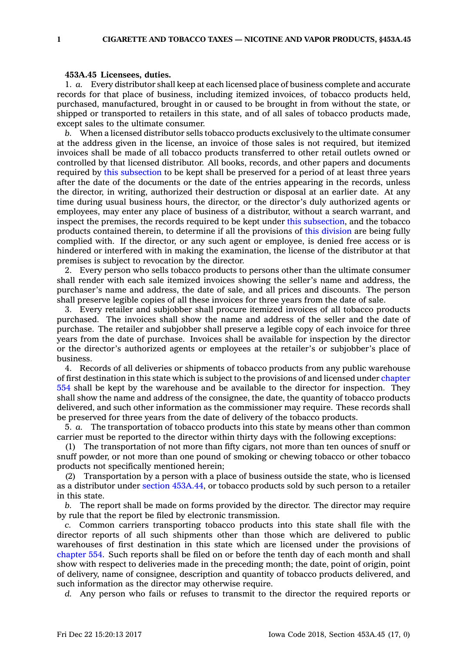## **453A.45 Licensees, duties.**

1. *a.* Every distributor shall keep at each licensed place of business complete and accurate records for that place of business, including itemized invoices, of tobacco products held, purchased, manufactured, brought in or caused to be brought in from without the state, or shipped or transported to retailers in this state, and of all sales of tobacco products made, except sales to the ultimate consumer.

*b.* When <sup>a</sup> licensed distributor sells tobacco products exclusively to the ultimate consumer at the address given in the license, an invoice of those sales is not required, but itemized invoices shall be made of all tobacco products transferred to other retail outlets owned or controlled by that licensed distributor. All books, records, and other papers and documents required by this [subsection](https://www.legis.iowa.gov/docs/code/453A.45.pdf) to be kept shall be preserved for <sup>a</sup> period of at least three years after the date of the documents or the date of the entries appearing in the records, unless the director, in writing, authorized their destruction or disposal at an earlier date. At any time during usual business hours, the director, or the director's duly authorized agents or employees, may enter any place of business of <sup>a</sup> distributor, without <sup>a</sup> search warrant, and inspect the premises, the records required to be kept under this [subsection](https://www.legis.iowa.gov/docs/code/453A.45.pdf), and the tobacco products contained therein, to determine if all the provisions of this [division](https://www.legis.iowa.gov/docs/code//453A.pdf) are being fully complied with. If the director, or any such agent or employee, is denied free access or is hindered or interfered with in making the examination, the license of the distributor at that premises is subject to revocation by the director.

2. Every person who sells tobacco products to persons other than the ultimate consumer shall render with each sale itemized invoices showing the seller's name and address, the purchaser's name and address, the date of sale, and all prices and discounts. The person shall preserve legible copies of all these invoices for three years from the date of sale.

3. Every retailer and subjobber shall procure itemized invoices of all tobacco products purchased. The invoices shall show the name and address of the seller and the date of purchase. The retailer and subjobber shall preserve <sup>a</sup> legible copy of each invoice for three years from the date of purchase. Invoices shall be available for inspection by the director or the director's authorized agents or employees at the retailer's or subjobber's place of business.

4. Records of all deliveries or shipments of tobacco products from any public warehouse of first destination in this state which is subject to the provisions of and licensed under [chapter](https://www.legis.iowa.gov/docs/code//554.pdf) [554](https://www.legis.iowa.gov/docs/code//554.pdf) shall be kept by the warehouse and be available to the director for inspection. They shall show the name and address of the consignee, the date, the quantity of tobacco products delivered, and such other information as the commissioner may require. These records shall be preserved for three years from the date of delivery of the tobacco products.

5. *a.* The transportation of tobacco products into this state by means other than common carrier must be reported to the director within thirty days with the following exceptions:

(1) The transportation of not more than fifty cigars, not more than ten ounces of snuff or snuff powder, or not more than one pound of smoking or chewing tobacco or other tobacco products not specifically mentioned herein;

(2) Transportation by <sup>a</sup> person with <sup>a</sup> place of business outside the state, who is licensed as <sup>a</sup> distributor under section [453A.44](https://www.legis.iowa.gov/docs/code/453A.44.pdf), or tobacco products sold by such person to <sup>a</sup> retailer in this state.

*b.* The report shall be made on forms provided by the director. The director may require by rule that the report be filed by electronic transmission.

*c.* Common carriers transporting tobacco products into this state shall file with the director reports of all such shipments other than those which are delivered to public warehouses of first destination in this state which are licensed under the provisions of [chapter](https://www.legis.iowa.gov/docs/code//554.pdf) 554. Such reports shall be filed on or before the tenth day of each month and shall show with respect to deliveries made in the preceding month; the date, point of origin, point of delivery, name of consignee, description and quantity of tobacco products delivered, and such information as the director may otherwise require.

*d.* Any person who fails or refuses to transmit to the director the required reports or